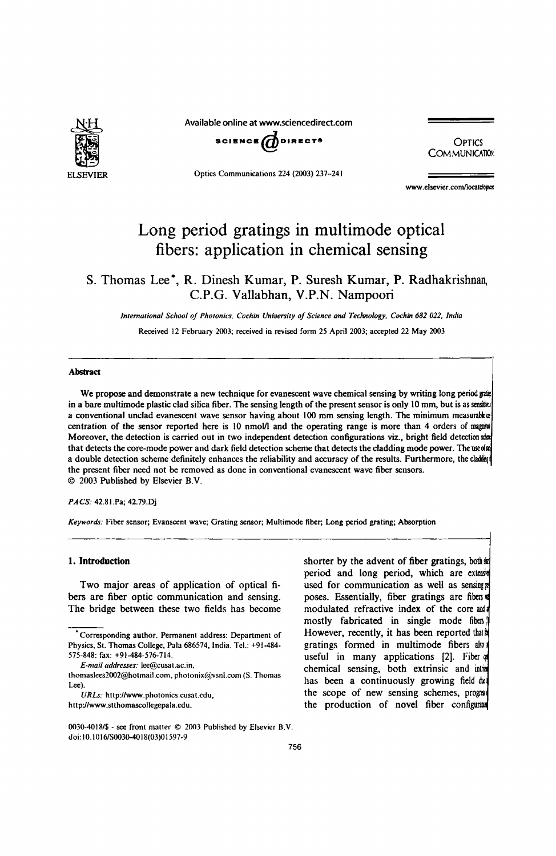

Available online at www.sciencedirect.com



**COMMUNICATION** 

Optics Communications 224 (2003) 237-241

www.elsevier.com/locatelones

# Long period gratings in multimode optical fibers: application in chemical sensing

# S. Thomas Lee\*, R. Dinesh Kumar, P. Suresh Kumar, P. Radhakrishnan, C.P.G. Vallabhan, V.P.N. Nampoori

*International School of Photonics, Cochin University of Science and Technology, Cochin* 682 *022. India* 

Received 12 February 2003; received in revised fonn 25 April 2003; accepted 22 May 2003

#### Abstract

We propose and demonstrate a new technique for evanescent wave chemical sensing by writing long period grass in a bare multimode plastic clad silica fiber. The sensing length of the present sensor is only 10 mm, but is as sensita a conventional unclad evanescent wave sensor having about 100 mm sensing length. The minimum measurabkat centration of the sensor reported here is 10 nmol/l and the operating range is more than 4 orders of magnit Moreover, the detection is carried out in two independent detection configurations viz., bright field detection sha that detects the core-mode power and dark field detection scheme that detects the cladding mode power. The used a double detection scheme definitely enhances the reliability and accuracy of the results. Furthermore, the clader the present tiber need not be removed as done in conventional evanescent wave fiber sensors. © 2003 Published by Elsevier B.v.

#### *PACS:* 42.8I.Pa; 42.79.Dj

*Keywords:* Fiber sensor; Evanscent wave; Grating sensor; Multimode fiber; Long period grating; Absorption

# 1. Introduction

Two major areas of application of optical fibers are fiber optic communication and sensing. The bridge between these two fields has become

shorter by the advent of fiber gratings, boths period and long period, which are ex used for communication as well as sensing poses. Essentially, fiber gratings are fibers modulated refractive index of the core and mostly fabricated in single mode fiber However, recently, it has been reported that it gratings formed in multimode fibers also useful in many applications [2]. Fiber chemical sensing, both extrinsic and into has been a continuously growing field dul the scope of new sensing schemes, program the production of novel fiber confi

<sup>•</sup> Corresponding author. Pennanent address: Department of Physics, St. Thomas College, Pala 686574, India. Tel.: +91-484- 575-848; fax: +91-484-576-714.

*E-mail addresses:* lee@cusat.ac.in,

thomaslees2002@hotmail.com, photonix@vsnl.com (S. Thomas Lee).

*URLs:* http://www.pholonics.cusat.cdu, http://www.stthomascollegepala.edu.

<sup>0030-40181\$ -</sup> see front matter © 2003 Published by Elsevier B.V. doi: 10.101 6/S0030-401 8(03)0 1597·9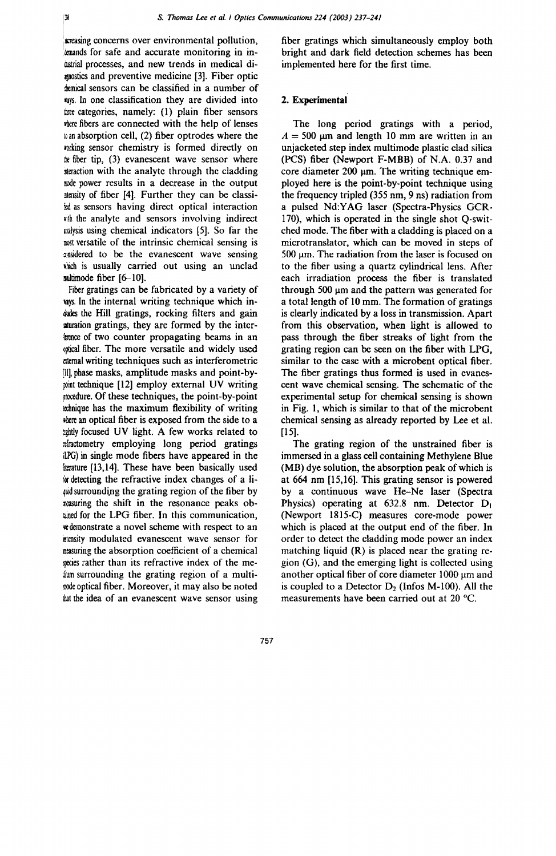Wstrial processes, and new trends in medical di- implemented here for the first time. mostics and preventive medicine [3]. Fiber optic the the sensors can be classified in a number of nys. In one classification they are divided into three categories, namely: (1) plain fiber sensors where fibers are connected with the help of lenses 10 an absorption cell, (2) fiber optrodes where the wrking sensor chemistry is formed directly on the fiber tip,  $(3)$  evanescent wave sensor where metraction with the analyte through the cladding mode power results in a decrease in the output 3tensity of fiber [4]. Further they can be classi id as sensors having direct optical interaction with the analyte and sensors involving indirect malysis using chemical indicators [5]. So far the nost versatile of the intrinsic chemical sensing is maidered to be the evanescent wave sensing .hich is usually carried out using an unclad sultimode fiber [6-10].

Fiber gratings can be fabricated by a variety of ways. In the internal writing technique which indudes the Hill gratings, rocking filters and gain sturation gratings, they are formed by the interfaence of two counter propagating beams in an ~ptical liber. The more versatile and widely used alernal writing techniques such as interferometric !111 phase masks, amplitude masks and point-by point technique [12] employ external UV writing procedure. Of these techniques, the point-by-point Ia:bnique has the maximum flexibility of writing ~'bere an optical fiber is exposed from the side to a the subset UV light. A few works related to :tiractornetry employing long period gratings iLPG) in single mode fibers have appeared in the literature [13,14]. These have been basically used ior detecting the refractive index changes of a li wid surrounding the grating region of the fiber by measuring the shift in the resonance peaks obained for the LPG fiber. In this communication, \'edemonstrate a novel scheme with respect to an mlensity modulated evanescent wave sensor for measuring the absorption coefficient of a chemical mess rather than its refractive index of the methe surrounding the grating region of a multimode optical fiber. Moreover, it may also be noted that the idea of an evanescent wave sensor using

lB:reasing concerns over environmental pollution, fiber gratings which simultaneously employ both .kmands for safe and accurate monitoring in in- bright and dark field detection schemes has been

# 2. Experimental

The long period gratings with a period,  $A = 500 \mu m$  and length 10 mm are written in an unjacketed step index multimode plastic clad silica (PCS) fiber (Newport F-MBB) of N.A. 0.37 and core diameter  $200 \mu m$ . The writing technique employed here is the point-by-point technique using the frequency tripled (355 nm, 9 ns) radiation from a pulsed Nd:YAG laser (Spectra-Physics GCR-170), which is operated in the single shot Q-switched mode. The fiber with a cladding is placed on a microtranslator, which can be moved in steps of  $500 \mu m$ . The radiation from the laser is focused on to the fiber using a quartz cylindrical lens. After each irradiation process the fiber is translated through 500  $\mu$ m and the pattern was generated for a total length of 10 mm. The formation of gratings is clearly indicated by a loss in transmission. Apart from this observation, when light is allowed to pass through the fiber streaks of light from the grating region can be seen on the fiber with LPG, similar to the case with a microbent optical fiber. The fiber gratings thus formed is used in evanescent wave chemical sensing. The schematic of the experimental setup for chemical sensing is shown in Fig. 1, which is similar to that of the microbent chemical sensing as already reported by Lee et al. [15].

The grating region of the unstrained fiber is immersed in a glass cell containing Methylene Blue (MB) dye solution, the absorption peak of which is at 664 nm [15,16]. This grating sensor is powered by a continuous wave He-Ne laser (Spectra Physics) operating at 632.8 nm. Detector D<sub>1</sub> (Newport IBI5-C) measures core-mode power which is placed at the output end of the fiber. In order to detect the cladding mode power an index matching liquid (R) is placed near the grating region (G), and the emerging light is collected using another optical fiber of core diameter 1000 um and is coupled to a Detector  $D_2$  (Infos M-100). All the measurements have been carried out at 20°C.

757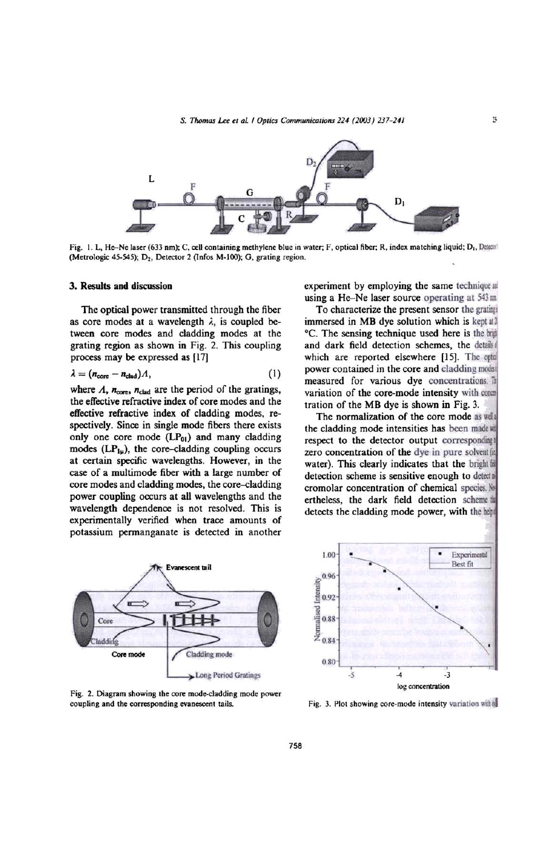

Fig. 1. L, He-Ne laser (633 nm); C, cell containing methylene blue in water; F, optical fiber; R, index matching liquid; D<sub>1</sub>, Detector (Metrologic 45-545); D<sub>2</sub>, Detector 2 (Infos M-100); G, grating region.

#### 3. Results and discussion

The optical power transmitted through the fiber as core modes at a wavelength  $\lambda$ , is coupled between core modes and cladding modes at the grating region as shown in Fig. 2. This coupling process may be expressed as [17]

$$
\lambda = (n_{\text{core}} - n_{\text{clad}})A, \tag{1}
$$

where  $\Lambda$ ,  $n_{\text{core}}$ ,  $n_{\text{clad}}$  are the period of the gratings, the effective refractive index of core modes and the effective refractive index of cladding modes. respectively. Since in single mode fibers there exists only one core mode  $(LP_{01})$  and many cladding modes  $(LP_{1\mu})$ , the core-cladding coupling occurs at certain specific wavelengths. However, in the case of a multimode fiber with a large number of core modes and cladding modes, the core-cladding power coupling occurs at all wavelengths and the wavelength dependence is not resolved. This is experimentally verified when trace amounts of potassium pennanganate is detected in another



Fig. 2. Diagram showing the core mode-cladding mode power coupling and the corresponding evanescent tails.

experiment by employing the same technique. using a He-Ne laser source operating at  $543 \text{ m}$ 

To characterize the present sensor the grating immersed in MB dye solution which is kept at  $\mathbb I$ °C. The sensing technique used here is the bight and dark field detection schemes, the details which are reported elsewhere [15]. The optal power contained in the core and cladding modes measured for various dye concentrations. It variation of the core-mode intensity with comtration of the MS dye is shown in Fig. 3.

The normalization of the core mode as well the cladding mode intensities has been made will respect to the detector output corresponding zero concentration of the dye in pure solvent@ water). This clearly indicates that the bright in detection scheme is sensitive enough to detect cromolar concentration of chemical species. ' ertheless. the dark field detection scheme detects the cladding mode power, with the heir



Fig. 3. Plot showing core-mode intensity variation within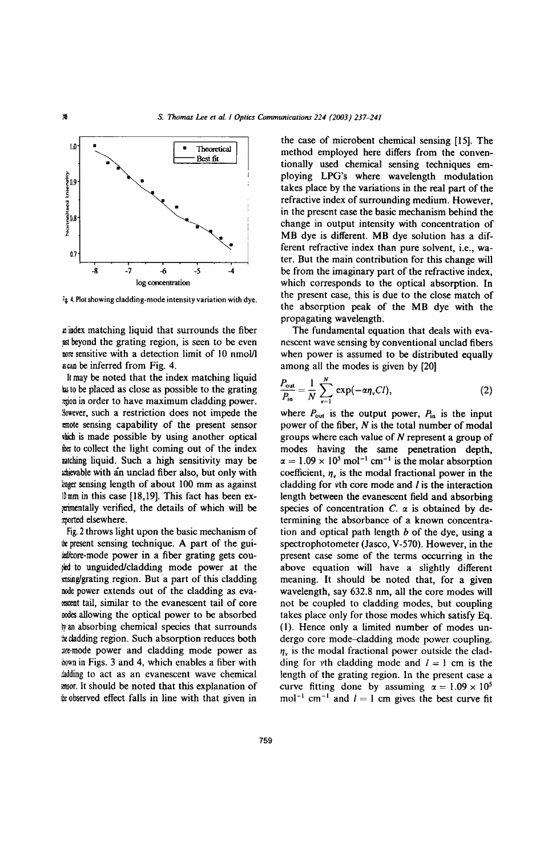

*r;* 4. Plot showing cladding-mode intensity variation with dye.

a index matching liquid that surrounds the fiber is beyond the grating region, is seen to be even more sensitive with a detection limit of 10 nmoUI a can be inferred from Fig. 4.

It may be noted that the index matching liquid has to be placed as close as possible to the grating zgion in order to have maximum cladding power. However, such a restriction does not impede the  $\epsilon$  mote sensing capability of the present sensor ibich is made possible by using another optical the to collect the light coming out of the index malching liquid. Such a high sensitivity may be ld!ievable with an unclad fiber also, but only with inger sensing length of about 100 mm as against IDmm in this case [18,19]. This fact has been exrementally verified, the details of which will be morted elsewhere.

Fig. 2 throws light upon the basic mechanism of the present sensing technique. A part of the guitalcore-mode power in a fiber grating gets coufled to unguided/cladding mode power at the ensing/grating region. But a part of this cladding node power extends out of the cladding as eva-~nt tail, similar to the evanescent tail of core modes allowing the optical power to be absorbed <sup>~</sup>an absorbing chemical species that surrounds :be cladding region. Such absorption reduces both are-mode power and cladding mode power as  $down in Figs. 3 and 4, which enables a fiber with$ dadding to act as an evanescent wave chemical l!I1SOr. It should be noted that this explanation of the observed effect falls in line with that given in

the case of microbent chemical sensing [15]. The method employed here differs from the conventionally used chemical sensing techniques employing LPG's where wavelength modulation takes place by the variations in the real part of the refractive index of surrounding medium. However, in the present case the basic mechanism behind the change in output intensity with concentration of MB dye is different. MB dye solution has a different refractive index than pure solvent, i.e., water. But the main contribution for this change will be from the imaginary part of the refractive index, which corresponds to the optical absorption. In the present case, this is due to the close match of the absorption peak of the MB dye with the propagating wavelength.

The fundamental equation that deals with evanescent wave sensing by conventional unclad fibers when power is assumed to be distributed equally among all the modes is given by [20]

$$
\frac{P_{\text{out}}}{P_{\text{in}}} = \frac{1}{N} \sum_{\nu=1}^{N} \exp(-\alpha \eta_{\nu} C l), \qquad (2)
$$

where  $P_{\text{out}}$  is the output power,  $P_{\text{in}}$  is the input power of the fiber, *N* is the total number of modal groups where each value of N represent a group of modes having the same penetration depth,  $\alpha = 1.09 \times 10^5$  mol<sup>-1</sup> cm<sup>-1</sup> is the molar absorption coefficient,  $\eta_{\nu}$  is the modal fractional power in the cladding for  $v$ th core mode and  $l$  is the interaction length between the evanescent field and absorbing species of concentration  $C$ .  $\alpha$  is obtained by determining the absorbance of a known concentration and optical path length *b* of the dye, using a spectrophotometer (Jasco, V-570). However, in the present case some of the terms occurring in the above equation will have a slightly different meaning. It should be noted that, for a given wavelength, say 632.8 nm, all the core modes will not be coupled to cladding modes, but coupling takes place only for those modes which satisfy Eq. (I). Hence only a limited number of modes undergo core mode-cladding mode power coupling.  $\eta_{v}$  is the modal fractional power outside the cladding for vth cladding mode and  $l = 1$  cm is the length of the grating region. In the present case a curve fitting done by assuming  $\alpha = 1.09 \times 10^5$ mol<sup>-1</sup> cm<sup>-1</sup> and  $I = 1$  cm gives the best curve fit